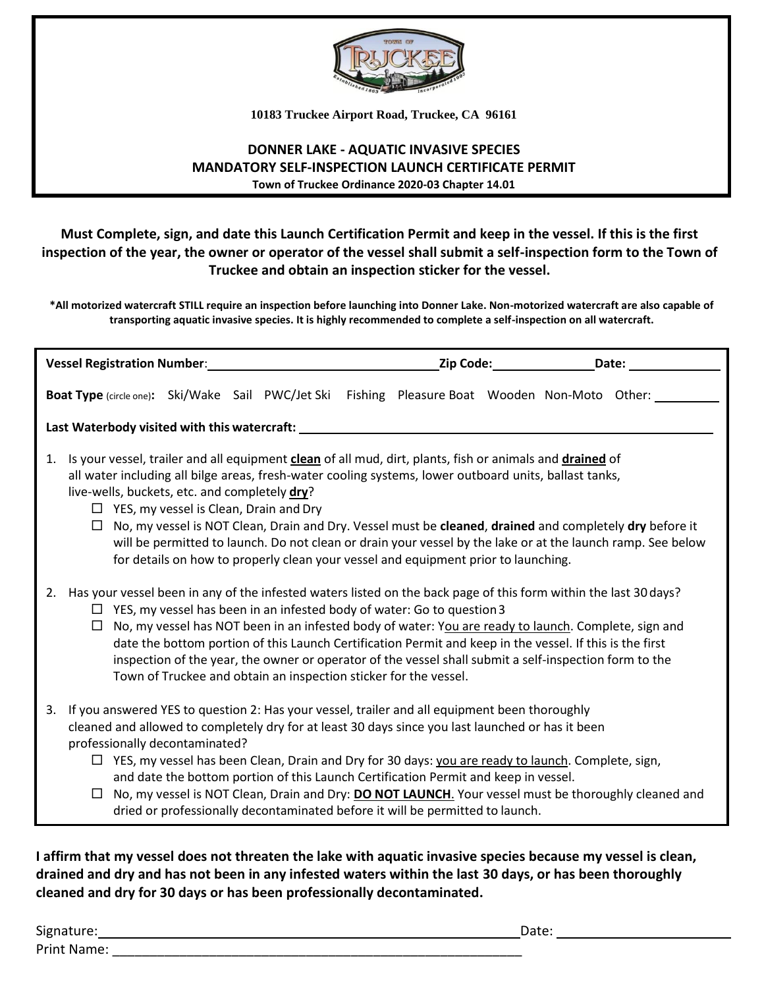

**10183 Truckee Airport Road, Truckee, CA 96161**

#### **DONNER LAKE - AQUATIC INVASIVE SPECIES MANDATORY SELF-INSPECTION LAUNCH CERTIFICATE PERMIT Town of Truckee Ordinance 2020-03 Chapter 14.01**

### **Must Complete, sign, and date this Launch Certification Permit and keep in the vessel. If this is the first inspection of the year, the owner or operator of the vessel shall submit a self-inspection form to the Town of Truckee and obtain an inspection sticker for the vessel.**

**\*All motorized watercraft STILL require an inspection before launching into Donner Lake. Non-motorized watercraft are also capable of transporting aquatic invasive species. It is highly recommended to complete a self-inspection on all watercraft.** 

| <b>Vessel Registration Number:</b>                                                                                                                                                                                                                                                                                                                                                                                                                                                                                                                                                                                                                   |  | Zip Code: Date: |
|------------------------------------------------------------------------------------------------------------------------------------------------------------------------------------------------------------------------------------------------------------------------------------------------------------------------------------------------------------------------------------------------------------------------------------------------------------------------------------------------------------------------------------------------------------------------------------------------------------------------------------------------------|--|-----------------|
| Boat Type (circle one): Ski/Wake Sail PWC/Jet Ski Fishing Pleasure Boat Wooden Non-Moto Other:                                                                                                                                                                                                                                                                                                                                                                                                                                                                                                                                                       |  |                 |
| Last Waterbody visited with this watercraft: National Communications of the control of the control of the control of the control of the control of the control of the control of the control of the control of the control of                                                                                                                                                                                                                                                                                                                                                                                                                        |  |                 |
| Is your vessel, trailer and all equipment clean of all mud, dirt, plants, fish or animals and drained of<br>1.<br>all water including all bilge areas, fresh-water cooling systems, lower outboard units, ballast tanks,<br>live-wells, buckets, etc. and completely dry?<br>$\Box$ YES, my vessel is Clean, Drain and Dry<br>No, my vessel is NOT Clean, Drain and Dry. Vessel must be cleaned, drained and completely dry before it<br>$\Box$<br>will be permitted to launch. Do not clean or drain your vessel by the lake or at the launch ramp. See below<br>for details on how to properly clean your vessel and equipment prior to launching. |  |                 |
| 2. Has your vessel been in any of the infested waters listed on the back page of this form within the last 30 days?<br>$\Box$ YES, my vessel has been in an infested body of water: Go to question 3<br>No, my vessel has NOT been in an infested body of water: You are ready to launch. Complete, sign and<br>$\Box$<br>date the bottom portion of this Launch Certification Permit and keep in the vessel. If this is the first<br>inspection of the year, the owner or operator of the vessel shall submit a self-inspection form to the<br>Town of Truckee and obtain an inspection sticker for the vessel.                                     |  |                 |
| If you answered YES to question 2: Has your vessel, trailer and all equipment been thoroughly<br>3.<br>cleaned and allowed to completely dry for at least 30 days since you last launched or has it been<br>professionally decontaminated?<br>$\Box$ YES, my vessel has been Clean, Drain and Dry for 30 days: you are ready to launch. Complete, sign,<br>and date the bottom portion of this Launch Certification Permit and keep in vessel.<br>No, my vessel is NOT Clean, Drain and Dry: DO NOT LAUNCH. Your vessel must be thoroughly cleaned and<br>$\Box$<br>dried or professionally decontaminated before it will be permitted to launch.    |  |                 |

**I affirm that my vessel does not threaten the lake with aquatic invasive species because my vessel is clean, drained and dry and has not been in any infested waters within the last 30 days, or has been thoroughly cleaned and dry for 30 days or has been professionally decontaminated.**

Signature: Date: Date: Date: Date: Date: Date: Date: Date: Date: Date: Date: Date: Date: Date: Date: Date: Date: Date: Date: Date: Date: Date: Date: Date: Date: Date: Date: Date: Date: Date: Date: Date: Date: Date: Date: D Print Name: \_\_\_\_\_\_\_\_\_\_\_\_\_\_\_\_\_\_\_\_\_\_\_\_\_\_\_\_\_\_\_\_\_\_\_\_\_\_\_\_\_\_\_\_\_\_\_\_\_\_\_\_\_\_\_